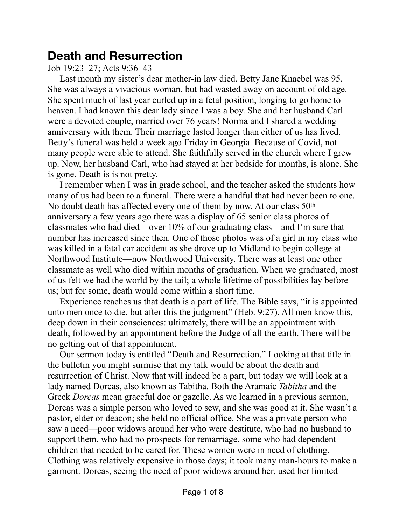# **Death and Resurrection**

## Job 19:23–27; Acts 9:36–43

Last month my sister's dear mother-in law died. Betty Jane Knaebel was 95. She was always a vivacious woman, but had wasted away on account of old age. She spent much of last year curled up in a fetal position, longing to go home to heaven. I had known this dear lady since I was a boy. She and her husband Carl were a devoted couple, married over 76 years! Norma and I shared a wedding anniversary with them. Their marriage lasted longer than either of us has lived. Betty's funeral was held a week ago Friday in Georgia. Because of Covid, not many people were able to attend. She faithfully served in the church where I grew up. Now, her husband Carl, who had stayed at her bedside for months, is alone. She is gone. Death is is not pretty.

I remember when I was in grade school, and the teacher asked the students how many of us had been to a funeral. There were a handful that had never been to one. No doubt death has affected every one of them by now. At our class 50th anniversary a few years ago there was a display of 65 senior class photos of classmates who had died—over 10% of our graduating class—and I'm sure that number has increased since then. One of those photos was of a girl in my class who was killed in a fatal car accident as she drove up to Midland to begin college at Northwood Institute—now Northwood University. There was at least one other classmate as well who died within months of graduation. When we graduated, most of us felt we had the world by the tail; a whole lifetime of possibilities lay before us; but for some, death would come within a short time.

Experience teaches us that death is a part of life. The Bible says, "it is appointed unto men once to die, but after this the judgment" (Heb. 9:27). All men know this, deep down in their consciences: ultimately, there will be an appointment with death, followed by an appointment before the Judge of all the earth. There will be no getting out of that appointment.

Our sermon today is entitled "Death and Resurrection." Looking at that title in the bulletin you might surmise that my talk would be about the death and resurrection of Christ. Now that will indeed be a part, but today we will look at a lady named Dorcas, also known as Tabitha. Both the Aramaic *Tabitha* and the Greek *Dorcas* mean graceful doe or gazelle. As we learned in a previous sermon, Dorcas was a simple person who loved to sew, and she was good at it. She wasn't a pastor, elder or deacon; she held no official office. She was a private person who saw a need—poor widows around her who were destitute, who had no husband to support them, who had no prospects for remarriage, some who had dependent children that needed to be cared for. These women were in need of clothing. Clothing was relatively expensive in those days; it took many man-hours to make a garment. Dorcas, seeing the need of poor widows around her, used her limited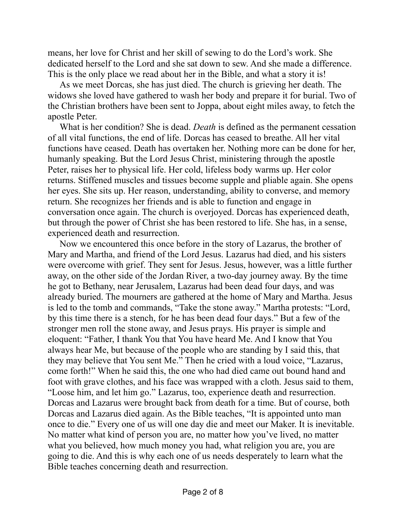means, her love for Christ and her skill of sewing to do the Lord's work. She dedicated herself to the Lord and she sat down to sew. And she made a difference. This is the only place we read about her in the Bible, and what a story it is!

As we meet Dorcas, she has just died. The church is grieving her death. The widows she loved have gathered to wash her body and prepare it for burial. Two of the Christian brothers have been sent to Joppa, about eight miles away, to fetch the apostle Peter.

What is her condition? She is dead. *Death* is defined as the permanent cessation of all vital functions, the end of life. Dorcas has ceased to breathe. All her vital functions have ceased. Death has overtaken her. Nothing more can be done for her, humanly speaking. But the Lord Jesus Christ, ministering through the apostle Peter, raises her to physical life. Her cold, lifeless body warms up. Her color returns. Stiffened muscles and tissues become supple and pliable again. She opens her eyes. She sits up. Her reason, understanding, ability to converse, and memory return. She recognizes her friends and is able to function and engage in conversation once again. The church is overjoyed. Dorcas has experienced death, but through the power of Christ she has been restored to life. She has, in a sense, experienced death and resurrection.

Now we encountered this once before in the story of Lazarus, the brother of Mary and Martha, and friend of the Lord Jesus. Lazarus had died, and his sisters were overcome with grief. They sent for Jesus. Jesus, however, was a little further away, on the other side of the Jordan River, a two-day journey away. By the time he got to Bethany, near Jerusalem, Lazarus had been dead four days, and was already buried. The mourners are gathered at the home of Mary and Martha. Jesus is led to the tomb and commands, "Take the stone away." Martha protests: "Lord, by this time there is a stench, for he has been dead four days." But a few of the stronger men roll the stone away, and Jesus prays. His prayer is simple and eloquent: "Father, I thank You that You have heard Me. And I know that You always hear Me, but because of the people who are standing by I said this, that they may believe that You sent Me." Then he cried with a loud voice, "Lazarus, come forth!" When he said this, the one who had died came out bound hand and foot with grave clothes, and his face was wrapped with a cloth. Jesus said to them, "Loose him, and let him go." Lazarus, too, experience death and resurrection. Dorcas and Lazarus were brought back from death for a time. But of course, both Dorcas and Lazarus died again. As the Bible teaches, "It is appointed unto man once to die." Every one of us will one day die and meet our Maker. It is inevitable. No matter what kind of person you are, no matter how you've lived, no matter what you believed, how much money you had, what religion you are, you are going to die. And this is why each one of us needs desperately to learn what the Bible teaches concerning death and resurrection.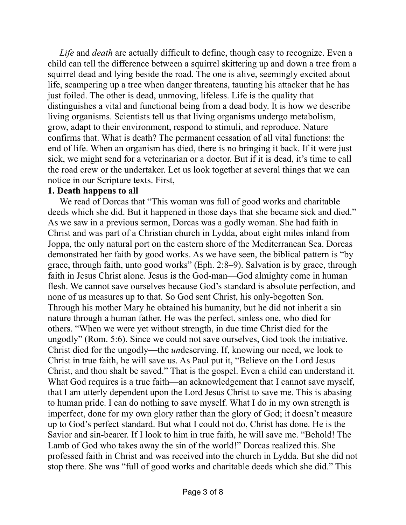*Life* and *death* are actually difficult to define, though easy to recognize. Even a child can tell the difference between a squirrel skittering up and down a tree from a squirrel dead and lying beside the road. The one is alive, seemingly excited about life, scampering up a tree when danger threatens, taunting his attacker that he has just foiled. The other is dead, unmoving, lifeless. Life is the quality that distinguishes a vital and functional being from a dead body. It is how we describe living organisms. Scientists tell us that living organisms undergo metabolism, grow, adapt to their environment, respond to stimuli, and reproduce. Nature confirms that. What is death? The permanent cessation of all vital functions: the end of life. When an organism has died, there is no bringing it back. If it were just sick, we might send for a veterinarian or a doctor. But if it is dead, it's time to call the road crew or the undertaker. Let us look together at several things that we can notice in our Scripture texts. First,

#### **1. Death happens to all**

We read of Dorcas that "This woman was full of good works and charitable" deeds which she did. But it happened in those days that she became sick and died." As we saw in a previous sermon, Dorcas was a godly woman. She had faith in Christ and was part of a Christian church in Lydda, about eight miles inland from Joppa, the only natural port on the eastern shore of the Mediterranean Sea. Dorcas demonstrated her faith by good works. As we have seen, the biblical pattern is "by grace, through faith, unto good works" (Eph. 2:8–9). Salvation is by grace, through faith in Jesus Christ alone. Jesus is the God-man—God almighty come in human flesh. We cannot save ourselves because God's standard is absolute perfection, and none of us measures up to that. So God sent Christ, his only-begotten Son. Through his mother Mary he obtained his humanity, but he did not inherit a sin nature through a human father. He was the perfect, sinless one, who died for others. "When we were yet without strength, in due time Christ died for the ungodly" (Rom. 5:6). Since we could not save ourselves, God took the initiative. Christ died for the ungodly—the *un*deserving. If, knowing our need, we look to Christ in true faith, he will save us. As Paul put it, "Believe on the Lord Jesus Christ, and thou shalt be saved." That is the gospel. Even a child can understand it. What God requires is a true faith—an acknowledgement that I cannot save myself, that I am utterly dependent upon the Lord Jesus Christ to save me. This is abasing to human pride. I can do nothing to save myself. What I do in my own strength is imperfect, done for my own glory rather than the glory of God; it doesn't measure up to God's perfect standard. But what I could not do, Christ has done. He is the Savior and sin-bearer. If I look to him in true faith, he will save me. "Behold! The Lamb of God who takes away the sin of the world!" Dorcas realized this. She professed faith in Christ and was received into the church in Lydda. But she did not stop there. She was "full of good works and charitable deeds which she did." This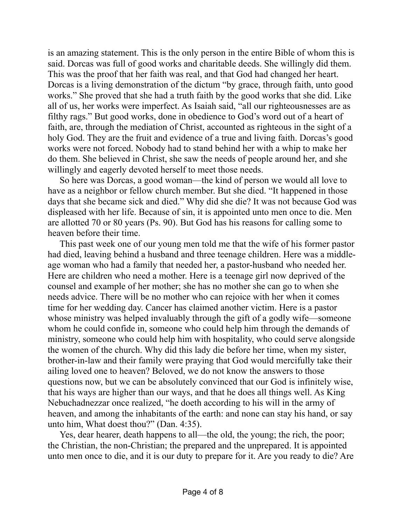is an amazing statement. This is the only person in the entire Bible of whom this is said. Dorcas was full of good works and charitable deeds. She willingly did them. This was the proof that her faith was real, and that God had changed her heart. Dorcas is a living demonstration of the dictum "by grace, through faith, unto good works." She proved that she had a truth faith by the good works that she did. Like all of us, her works were imperfect. As Isaiah said, "all our righteousnesses are as filthy rags." But good works, done in obedience to God's word out of a heart of faith, are, through the mediation of Christ, accounted as righteous in the sight of a holy God. They are the fruit and evidence of a true and living faith. Dorcas's good works were not forced. Nobody had to stand behind her with a whip to make her do them. She believed in Christ, she saw the needs of people around her, and she willingly and eagerly devoted herself to meet those needs.

So here was Dorcas, a good woman—the kind of person we would all love to have as a neighbor or fellow church member. But she died. "It happened in those days that she became sick and died." Why did she die? It was not because God was displeased with her life. Because of sin, it is appointed unto men once to die. Men are allotted 70 or 80 years (Ps. 90). But God has his reasons for calling some to heaven before their time.

This past week one of our young men told me that the wife of his former pastor had died, leaving behind a husband and three teenage children. Here was a middleage woman who had a family that needed her, a pastor-husband who needed her. Here are children who need a mother. Here is a teenage girl now deprived of the counsel and example of her mother; she has no mother she can go to when she needs advice. There will be no mother who can rejoice with her when it comes time for her wedding day. Cancer has claimed another victim. Here is a pastor whose ministry was helped invaluably through the gift of a godly wife—someone whom he could confide in, someone who could help him through the demands of ministry, someone who could help him with hospitality, who could serve alongside the women of the church. Why did this lady die before her time, when my sister, brother-in-law and their family were praying that God would mercifully take their ailing loved one to heaven? Beloved, we do not know the answers to those questions now, but we can be absolutely convinced that our God is infinitely wise, that his ways are higher than our ways, and that he does all things well. As King Nebuchadnezzar once realized, "he doeth according to his will in the army of heaven, and among the inhabitants of the earth: and none can stay his hand, or say unto him, What doest thou?" (Dan. 4:35).

Yes, dear hearer, death happens to all—the old, the young; the rich, the poor; the Christian, the non-Christian; the prepared and the unprepared. It is appointed unto men once to die, and it is our duty to prepare for it. Are you ready to die? Are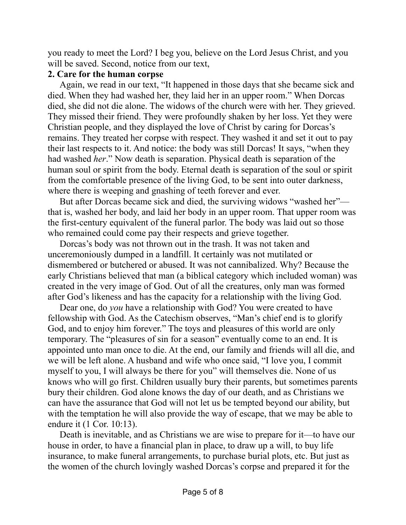you ready to meet the Lord? I beg you, believe on the Lord Jesus Christ, and you will be saved. Second, notice from our text,

### **2. Care for the human corpse**

Again, we read in our text, "It happened in those days that she became sick and died. When they had washed her, they laid her in an upper room." When Dorcas died, she did not die alone. The widows of the church were with her. They grieved. They missed their friend. They were profoundly shaken by her loss. Yet they were Christian people, and they displayed the love of Christ by caring for Dorcas's remains. They treated her corpse with respect. They washed it and set it out to pay their last respects to it. And notice: the body was still Dorcas! It says, "when they had washed *her*." Now death is separation. Physical death is separation of the human soul or spirit from the body. Eternal death is separation of the soul or spirit from the comfortable presence of the living God, to be sent into outer darkness, where there is weeping and gnashing of teeth forever and ever.

But after Dorcas became sick and died, the surviving widows "washed her" that is, washed her body, and laid her body in an upper room. That upper room was the first-century equivalent of the funeral parlor. The body was laid out so those who remained could come pay their respects and grieve together.

Dorcas's body was not thrown out in the trash. It was not taken and unceremoniously dumped in a landfill. It certainly was not mutilated or dismembered or butchered or abused. It was not cannibalized. Why? Because the early Christians believed that man (a biblical category which included woman) was created in the very image of God. Out of all the creatures, only man was formed after God's likeness and has the capacity for a relationship with the living God.

Dear one, do *you* have a relationship with God? You were created to have fellowship with God. As the Catechism observes, "Man's chief end is to glorify God, and to enjoy him forever." The toys and pleasures of this world are only temporary. The "pleasures of sin for a season" eventually come to an end. It is appointed unto man once to die. At the end, our family and friends will all die, and we will be left alone. A husband and wife who once said, "I love you, I commit myself to you, I will always be there for you" will themselves die. None of us knows who will go first. Children usually bury their parents, but sometimes parents bury their children. God alone knows the day of our death, and as Christians we can have the assurance that God will not let us be tempted beyond our ability, but with the temptation he will also provide the way of escape, that we may be able to endure it (1 Cor. 10:13).

Death is inevitable, and as Christians we are wise to prepare for it—to have our house in order, to have a financial plan in place, to draw up a will, to buy life insurance, to make funeral arrangements, to purchase burial plots, etc. But just as the women of the church lovingly washed Dorcas's corpse and prepared it for the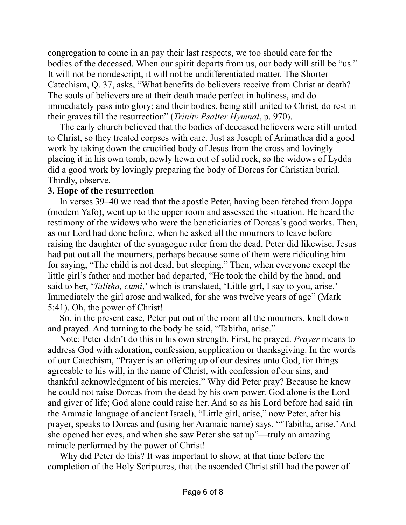congregation to come in an pay their last respects, we too should care for the bodies of the deceased. When our spirit departs from us, our body will still be "us." It will not be nondescript, it will not be undifferentiated matter. The Shorter Catechism, Q. 37, asks, "What benefits do believers receive from Christ at death? The souls of believers are at their death made perfect in holiness, and do immediately pass into glory; and their bodies, being still united to Christ, do rest in their graves till the resurrection" (*Trinity Psalter Hymnal*, p. 970).

The early church believed that the bodies of deceased believers were still united to Christ, so they treated corpses with care. Just as Joseph of Arimathea did a good work by taking down the crucified body of Jesus from the cross and lovingly placing it in his own tomb, newly hewn out of solid rock, so the widows of Lydda did a good work by lovingly preparing the body of Dorcas for Christian burial. Thirdly, observe,

## **3. Hope of the resurrection**

In verses 39–40 we read that the apostle Peter, having been fetched from Joppa (modern Yafo), went up to the upper room and assessed the situation. He heard the testimony of the widows who were the beneficiaries of Dorcas's good works. Then, as our Lord had done before, when he asked all the mourners to leave before raising the daughter of the synagogue ruler from the dead, Peter did likewise. Jesus had put out all the mourners, perhaps because some of them were ridiculing him for saying, "The child is not dead, but sleeping." Then, when everyone except the little girl's father and mother had departed, "He took the child by the hand, and said to her, '*Talitha, cumi*,' which is translated, 'Little girl, I say to you, arise.' Immediately the girl arose and walked, for she was twelve years of age" (Mark 5:41). Oh, the power of Christ!

So, in the present case, Peter put out of the room all the mourners, knelt down and prayed. And turning to the body he said, "Tabitha, arise."

Note: Peter didn't do this in his own strength. First, he prayed. *Prayer* means to address God with adoration, confession, supplication or thanksgiving. In the words of our Catechism, "Prayer is an offering up of our desires unto God, for things agreeable to his will, in the name of Christ, with confession of our sins, and thankful acknowledgment of his mercies." Why did Peter pray? Because he knew he could not raise Dorcas from the dead by his own power. God alone is the Lord and giver of life; God alone could raise her. And so as his Lord before had said (in the Aramaic language of ancient Israel), "Little girl, arise," now Peter, after his prayer, speaks to Dorcas and (using her Aramaic name) says, "'Tabitha, arise.' And she opened her eyes, and when she saw Peter she sat up"—truly an amazing miracle performed by the power of Christ!

Why did Peter do this? It was important to show, at that time before the completion of the Holy Scriptures, that the ascended Christ still had the power of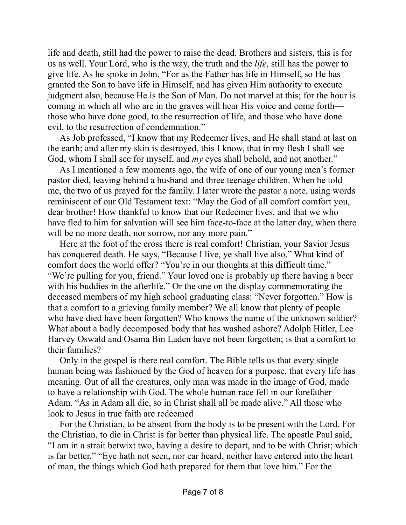life and death, still had the power to raise the dead. Brothers and sisters, this is for us as well. Your Lord, who is the way, the truth and the *life*, still has the power to give life. As he spoke in John, "For as the Father has life in Himself, so He has granted the Son to have life in Himself, and has given Him authority to execute judgment also, because He is the Son of Man. Do not marvel at this; for the hour is coming in which all who are in the graves will hear His voice and come forth those who have done good, to the resurrection of life, and those who have done evil, to the resurrection of condemnation."

As Job professed, "I know that my Redeemer lives, and He shall stand at last on the earth; and after my skin is destroyed, this I know, that in my flesh I shall see God, whom I shall see for myself, and *my* eyes shall behold, and not another."

As I mentioned a few moments ago, the wife of one of our young men's former pastor died, leaving behind a husband and three teenage children. When he told me, the two of us prayed for the family. I later wrote the pastor a note, using words reminiscent of our Old Testament text: "May the God of all comfort comfort you, dear brother! How thankful to know that our Redeemer lives, and that we who have fled to him for salvation will see him face-to-face at the latter day, when there will be no more death, nor sorrow, nor any more pain."

Here at the foot of the cross there is real comfort! Christian, your Savior Jesus has conquered death. He says, "Because I live, ye shall live also." What kind of comfort does the world offer? "You're in our thoughts at this difficult time." "We're pulling for you, friend." Your loved one is probably up there having a beer with his buddies in the afterlife." Or the one on the display commemorating the deceased members of my high school graduating class: "Never forgotten." How is that a comfort to a grieving family member? We all know that plenty of people who have died have been forgotten? Who knows the name of the unknown soldier? What about a badly decomposed body that has washed ashore? Adolph Hitler, Lee Harvey Oswald and Osama Bin Laden have not been forgotten; is that a comfort to their families?

Only in the gospel is there real comfort. The Bible tells us that every single human being was fashioned by the God of heaven for a purpose, that every life has meaning. Out of all the creatures, only man was made in the image of God, made to have a relationship with God. The whole human race fell in our forefather Adam. "As in Adam all die, so in Christ shall all be made alive." All those who look to Jesus in true faith are redeemed

For the Christian, to be absent from the body is to be present with the Lord. For the Christian, to die in Christ is far better than physical life. The apostle Paul said, "I am in a strait betwixt two, having a desire to depart, and to be with Christ; which is far better." "Eye hath not seen, nor ear heard, neither have entered into the heart of man, the things which God hath prepared for them that love him." For the